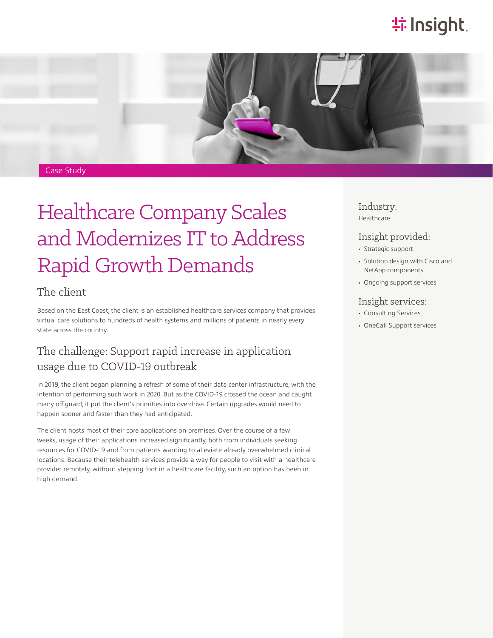# **特Insight**.



#### Case Study

# Healthcare Company Scales and Modernizes IT to Address Rapid Growth Demands

### The client

Based on the East Coast, the client is an established healthcare services company that provides virtual care solutions to hundreds of health systems and millions of patients in nearly every state across the country.

### The challenge: Support rapid increase in application usage due to COVID-19 outbreak

In 2019, the client began planning a refresh of some of their data center infrastructure, with the intention of performing such work in 2020. But as the COVID-19 crossed the ocean and caught many off guard, it put the client's priorities into overdrive. Certain upgrades would need to happen sooner and faster than they had anticipated.

The client hosts most of their core applications on-premises. Over the course of a few weeks, usage of their applications increased significantly, both from individuals seeking resources for COVID-19 and from patients wanting to alleviate already overwhelmed clinical locations. Because their telehealth services provide a way for people to visit with a healthcare provider remotely, without stepping foot in a healthcare facility, such an option has been in high demand.

Industry: Healthcare

#### Insight provided:

- Strategic support
- Solution design with Cisco and NetApp components
- Ongoing support services

#### Insight services:

- Consulting Services
- OneCall Support services